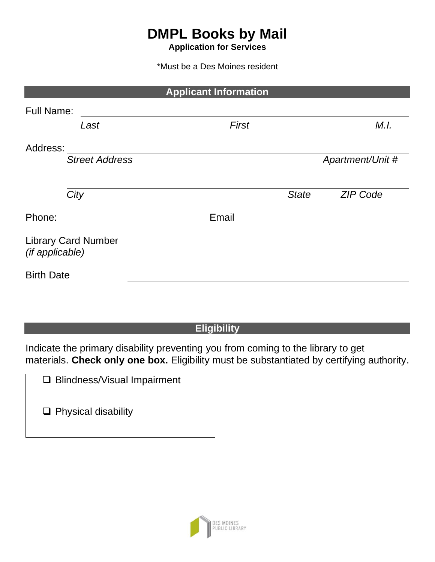# **DMPL Books by Mail**

**Application for Services**

\*Must be a Des Moines resident

|                   |                            | <b>Applicant Information</b> |              |                  |
|-------------------|----------------------------|------------------------------|--------------|------------------|
| <b>Full Name:</b> |                            |                              |              |                  |
|                   | Last                       | <b>First</b>                 |              | M.I.             |
| Address:          |                            |                              |              |                  |
|                   | <b>Street Address</b>      |                              |              | Apartment/Unit # |
|                   |                            |                              |              |                  |
|                   | City                       |                              | <b>State</b> | <b>ZIP Code</b>  |
| Phone:            |                            | Email                        |              |                  |
| (if applicable)   | <b>Library Card Number</b> |                              |              |                  |
| <b>Birth Date</b> |                            |                              |              |                  |

# **Eligibility**

Indicate the primary disability preventing you from coming to the library to get materials. **Check only one box.** Eligibility must be substantiated by certifying authority.

|  |  |  | □ Blindness/Visual Impairment |
|--|--|--|-------------------------------|
|--|--|--|-------------------------------|

❑ Physical disability

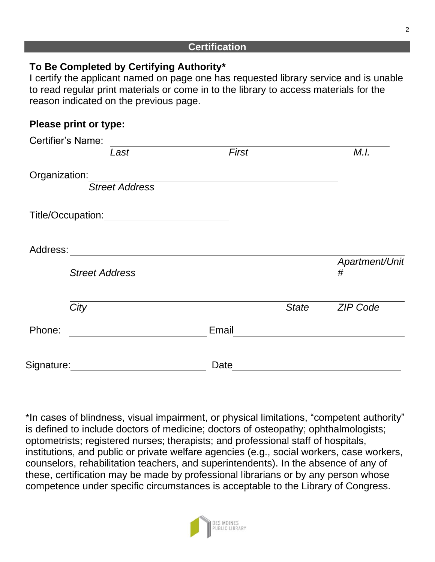#### **Certification**

# **To Be Completed by Certifying Authority\***

I certify the applicant named on page one has requested library service and is unable to read regular print materials or come in to the library to access materials for the reason indicated on the previous page.

# **Please print or type:**

|               | <b>Certifier's Name:</b> |       |              |                     |
|---------------|--------------------------|-------|--------------|---------------------|
|               | Last                     | First |              | M.I.                |
| Organization: | <b>Street Address</b>    |       |              |                     |
|               | Title/Occupation:        |       |              |                     |
| Address:      |                          |       |              |                     |
|               | <b>Street Address</b>    |       |              | Apartment/Unit<br># |
|               | City                     |       | <b>State</b> | <b>ZIP Code</b>     |
| Phone:        |                          | Email |              |                     |
| Signature:    |                          | Date  |              |                     |

\*In cases of blindness, visual impairment, or physical limitations, "competent authority" is defined to include doctors of medicine; doctors of osteopathy; ophthalmologists; optometrists; registered nurses; therapists; and professional staff of hospitals, institutions, and public or private welfare agencies (e.g., social workers, case workers, counselors, rehabilitation teachers, and superintendents). In the absence of any of these, certification may be made by professional librarians or by any person whose competence under specific circumstances is acceptable to the Library of Congress.

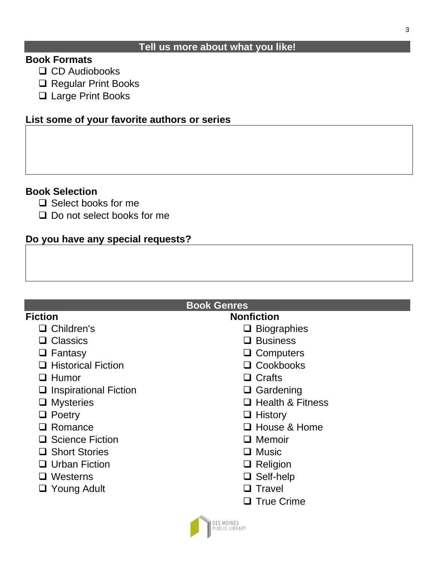#### **Tell us more about what you like!**

### **Book Formats**

- ❑ CD Audiobooks
- ❑ Regular Print Books
- ❑ Large Print Books

### **List some of your favorite authors or series**

#### **Book Selection**

- ❑ Select books for me
- ❑ Do not select books for me

### **Do you have any special requests?**

#### **Book Genres Fiction** ❑ Children's ❑ Classics ❑ Fantasy ❑ Historical Fiction ❑ Humor ❑ Inspirational Fiction ❑ Mysteries ❑ Poetry ❑ Romance ❑ Science Fiction ❑ Short Stories ❑ Urban Fiction ❑ Westerns ❑ Young Adult **Nonfiction** ❑ Biographies ❑ Business ❑ Computers ❑ Cookbooks ❑ Crafts ❑ Gardening ❑ Health & Fitness ❑ History ❑ House & Home ❑ Memoir ❑ Music ❑ Religion ❑ Self-help ❑ Travel ❑ True Crime